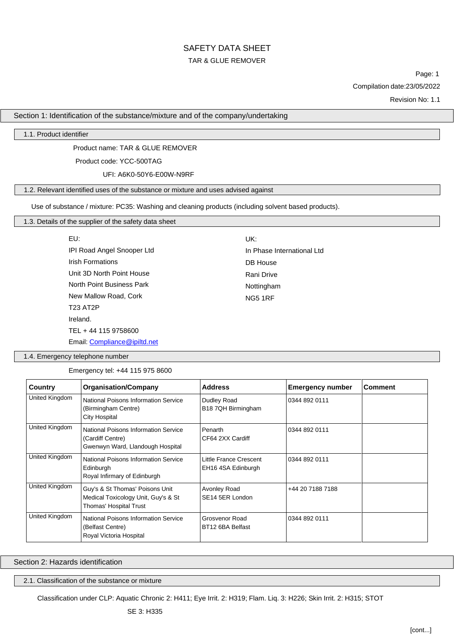# SAFETY DATA SHEET TAR & GLUE REMOVER

Page: 1 Compilation date:23/05/2022

Revision No: 1.1

### Section 1: Identification of the substance/mixture and of the company/undertaking

### 1.1. Product identifier

Product name: TAR & GLUE REMOVER

Product code: YCC-500TAG

UFI: A6K0-50Y6-E00W-N9RF

### 1.2. Relevant identified uses of the substance or mixture and uses advised against

Use of substance / mixture: PC35: Washing and cleaning products (including solvent based products).

# 1.3. Details of the supplier of the safety data sheet

| EU:                          | UK:                        |
|------------------------------|----------------------------|
| IPI Road Angel Snooper Ltd   | In Phase International Ltd |
| <b>Irish Formations</b>      | DB House                   |
| Unit 3D North Point House    | Rani Drive                 |
| North Point Business Park    | Nottingham                 |
| New Mallow Road, Cork        | <b>NG5 1RF</b>             |
| <b>T23 AT2P</b>              |                            |
| Ireland.                     |                            |
| TEL + 44 115 9758600         |                            |
| Email: Compliance@ipiltd.net |                            |

1.4. Emergency telephone number

Emergency tel: +44 115 975 8600

| Country        | <b>Organisation/Company</b>                                                                      | <b>Address</b>                               | <b>Emergency number</b> | <b>Comment</b> |
|----------------|--------------------------------------------------------------------------------------------------|----------------------------------------------|-------------------------|----------------|
| United Kingdom | National Poisons Information Service<br>(Birmingham Centre)<br>City Hospital                     | Dudley Road<br>B18 7QH Birmingham            | 0344 892 0111           |                |
| United Kingdom | National Poisons Information Service<br>(Cardiff Centre)<br>Gwenwyn Ward, Llandough Hospital     | Penarth<br>CF64 2XX Cardiff                  | 0344 892 0111           |                |
| United Kingdom | <b>National Poisons Information Service</b><br>Edinburgh<br>Royal Infirmary of Edinburgh         | Little France Crescent<br>EH16 4SA Edinburgh | 0344 892 0111           |                |
| United Kingdom | Guy's & St Thomas' Poisons Unit<br>Medical Toxicology Unit, Guy's & St<br>Thomas' Hospital Trust | Avonley Road<br>SE <sub>14</sub> 5ER London  | +44 20 7188 7188        |                |
| United Kingdom | National Poisons Information Service<br>(Belfast Centre)<br>Roval Victoria Hospital              | <b>Grosvenor Road</b><br>BT12 6BA Belfast    | 0344 892 0111           |                |

Section 2: Hazards identification

2.1. Classification of the substance or mixture

Classification under CLP: Aquatic Chronic 2: H411; Eye Irrit. 2: H319; Flam. Liq. 3: H226; Skin Irrit. 2: H315; STOT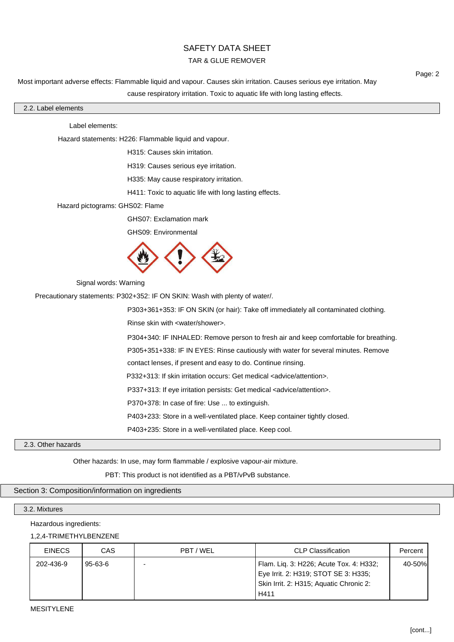### TAR & GLUE REMOVER

Most important adverse effects: Flammable liquid and vapour. Causes skin irritation. Causes serious eye irritation. May cause respiratory irritation. Toxic to aquatic life with long lasting effects.

### 2.2. Label elements

### Label elements:

Hazard statements: H226: Flammable liquid and vapour.

H315: Causes skin irritation.

H319: Causes serious eye irritation.

H335: May cause respiratory irritation.

H411: Toxic to aquatic life with long lasting effects.

Hazard pictograms: GHS02: Flame

GHS07: Exclamation mark

GHS09: Environmental



Signal words: Warning

Precautionary statements: P302+352: IF ON SKIN: Wash with plenty of water/.

P303+361+353: IF ON SKIN (or hair): Take off immediately all contaminated clothing.

Rinse skin with <water/shower>.

P304+340: IF INHALED: Remove person to fresh air and keep comfortable for breathing.

P305+351+338: IF IN EYES: Rinse cautiously with water for several minutes. Remove

contact lenses, if present and easy to do. Continue rinsing.

P332+313: If skin irritation occurs: Get medical <advice/attention>.

P337+313: If eye irritation persists: Get medical <advice/attention>.

P370+378: In case of fire: Use ... to extinguish.

P403+233: Store in a well-ventilated place. Keep container tightly closed.

P403+235: Store in a well-ventilated place. Keep cool.

### 2.3. Other hazards

Other hazards: In use, may form flammable / explosive vapour-air mixture.

PBT: This product is not identified as a PBT/vPvB substance.

### Section 3: Composition/information on ingredients

### 3.2. Mixtures

### Hazardous ingredients:

### 1,2,4-TRIMETHYLBENZENE

| <b>EINECS</b> | CAS     | PBT / WEL | <b>CLP Classification</b>                                                                                                          | Percent |
|---------------|---------|-----------|------------------------------------------------------------------------------------------------------------------------------------|---------|
| 202-436-9     | 95-63-6 |           | Flam. Liq. 3: H226; Acute Tox. 4: H332;<br>Eye Irrit. 2: H319; STOT SE 3: H335;<br>Skin Irrit. 2: H315; Aquatic Chronic 2:<br>H411 | 40-50%  |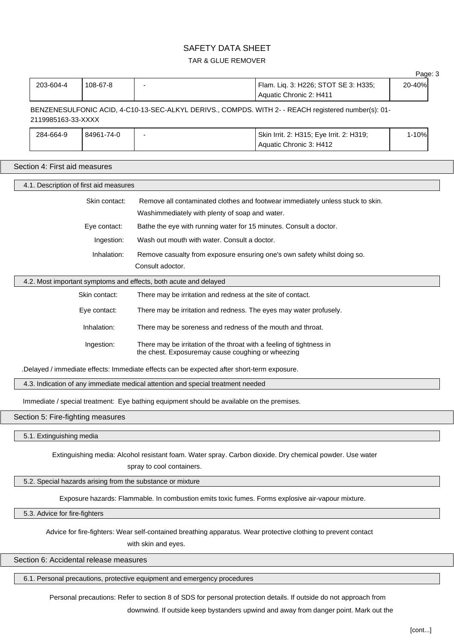# TAR & GLUE REMOVER

|                                                                                                                                         |                                                                                            |                                        |                                                                                                                                       |                                                                                                          | Page: 3 |  |
|-----------------------------------------------------------------------------------------------------------------------------------------|--------------------------------------------------------------------------------------------|----------------------------------------|---------------------------------------------------------------------------------------------------------------------------------------|----------------------------------------------------------------------------------------------------------|---------|--|
|                                                                                                                                         | 203-604-4                                                                                  | 108-67-8                               |                                                                                                                                       | Flam. Liq. 3: H226; STOT SE 3: H335;<br>Aquatic Chronic 2: H411                                          | 20-40%  |  |
|                                                                                                                                         | 2119985163-33-XXXX                                                                         |                                        |                                                                                                                                       | BENZENESULFONIC ACID, 4-C10-13-SEC-ALKYL DERIVS., COMPDS. WITH 2- - REACH registered number(s): 01-      |         |  |
|                                                                                                                                         | 284-664-9                                                                                  | 84961-74-0                             |                                                                                                                                       | Skin Irrit. 2: H315; Eye Irrit. 2: H319;<br>Aquatic Chronic 3: H412                                      | 1-10%   |  |
|                                                                                                                                         |                                                                                            | Section 4: First aid measures          |                                                                                                                                       |                                                                                                          |         |  |
|                                                                                                                                         |                                                                                            | 4.1. Description of first aid measures |                                                                                                                                       |                                                                                                          |         |  |
|                                                                                                                                         |                                                                                            | Skin contact:                          | Washimmediately with plenty of soap and water.                                                                                        | Remove all contaminated clothes and footwear immediately unless stuck to skin.                           |         |  |
|                                                                                                                                         |                                                                                            | Eye contact:                           | Bathe the eye with running water for 15 minutes. Consult a doctor.                                                                    |                                                                                                          |         |  |
|                                                                                                                                         |                                                                                            | Ingestion:                             | Wash out mouth with water. Consult a doctor.                                                                                          |                                                                                                          |         |  |
|                                                                                                                                         |                                                                                            | Inhalation:                            | Remove casualty from exposure ensuring one's own safety whilst doing so.                                                              |                                                                                                          |         |  |
|                                                                                                                                         |                                                                                            |                                        | Consult adoctor.                                                                                                                      |                                                                                                          |         |  |
|                                                                                                                                         |                                                                                            |                                        | 4.2. Most important symptoms and effects, both acute and delayed                                                                      |                                                                                                          |         |  |
|                                                                                                                                         |                                                                                            | Skin contact:                          | There may be irritation and redness at the site of contact.                                                                           |                                                                                                          |         |  |
|                                                                                                                                         |                                                                                            | Eye contact:                           | There may be irritation and redness. The eyes may water profusely.                                                                    |                                                                                                          |         |  |
|                                                                                                                                         |                                                                                            | Inhalation:                            | There may be soreness and redness of the mouth and throat.                                                                            |                                                                                                          |         |  |
| Ingestion:<br>There may be irritation of the throat with a feeling of tightness in<br>the chest. Exposuremay cause coughing or wheezing |                                                                                            |                                        |                                                                                                                                       |                                                                                                          |         |  |
|                                                                                                                                         | .Delayed / immediate effects: Immediate effects can be expected after short-term exposure. |                                        |                                                                                                                                       |                                                                                                          |         |  |
| 4.3. Indication of any immediate medical attention and special treatment needed                                                         |                                                                                            |                                        |                                                                                                                                       |                                                                                                          |         |  |
| Immediate / special treatment: Eye bathing equipment should be available on the premises.                                               |                                                                                            |                                        |                                                                                                                                       |                                                                                                          |         |  |
|                                                                                                                                         |                                                                                            | Section 5: Fire-fighting measures      |                                                                                                                                       |                                                                                                          |         |  |
|                                                                                                                                         | 5.1. Extinguishing media                                                                   |                                        |                                                                                                                                       |                                                                                                          |         |  |
|                                                                                                                                         |                                                                                            |                                        | spray to cool containers.                                                                                                             | Extinguishing media: Alcohol resistant foam. Water spray. Carbon dioxide. Dry chemical powder. Use water |         |  |
|                                                                                                                                         |                                                                                            |                                        | 5.2. Special hazards arising from the substance or mixture                                                                            |                                                                                                          |         |  |
|                                                                                                                                         |                                                                                            |                                        | Exposure hazards: Flammable. In combustion emits toxic fumes. Forms explosive air-vapour mixture.                                     |                                                                                                          |         |  |
|                                                                                                                                         | 5.3. Advice for fire-fighters                                                              |                                        |                                                                                                                                       |                                                                                                          |         |  |
|                                                                                                                                         |                                                                                            |                                        | Advice for fire-fighters: Wear self-contained breathing apparatus. Wear protective clothing to prevent contact<br>with skin and eyes. |                                                                                                          |         |  |
|                                                                                                                                         |                                                                                            | Section 6: Accidental release measures |                                                                                                                                       |                                                                                                          |         |  |
|                                                                                                                                         |                                                                                            |                                        |                                                                                                                                       |                                                                                                          |         |  |

6.1. Personal precautions, protective equipment and emergency procedures

Personal precautions: Refer to section 8 of SDS for personal protection details. If outside do not approach from

downwind. If outside keep bystanders upwind and away from danger point. Mark out the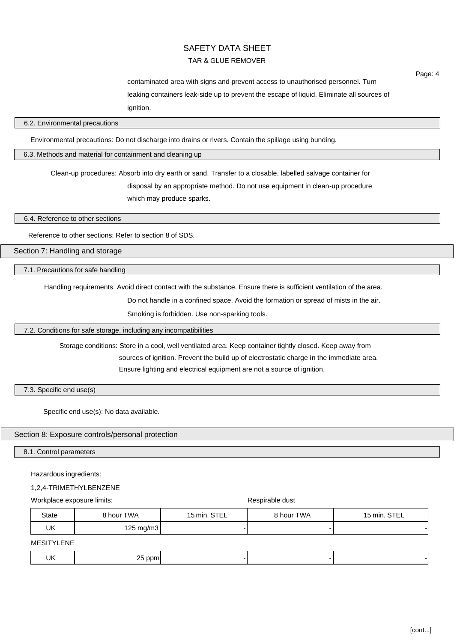# TAR & GLUE REMOVER

contaminated area with signs and prevent access to unauthorised personnel. Turn leaking containers leak-side up to prevent the escape of liquid. Eliminate all sources of ignition.

### 6.2. Environmental precautions

Environmental precautions: Do not discharge into drains or rivers. Contain the spillage using bunding.

6.3. Methods and material for containment and cleaning up

Clean-up procedures: Absorb into dry earth or sand. Transfer to a closable, labelled salvage container for disposal by an appropriate method. Do not use equipment in clean-up procedure which may produce sparks.

6.4. Reference to other sections

Reference to other sections: Refer to section 8 of SDS.

Section 7: Handling and storage

7.1. Precautions for safe handling

Handling requirements: Avoid direct contact with the substance. Ensure there is sufficient ventilation of the area.

Do not handle in a confined space. Avoid the formation or spread of mists in the air.

Smoking is forbidden. Use non-sparking tools.

7.2. Conditions for safe storage, including any incompatibilities

Storage conditions: Store in a cool, well ventilated area. Keep container tightly closed. Keep away from

sources of ignition. Prevent the build up of electrostatic charge in the immediate area.

Ensure lighting and electrical equipment are not a source of ignition.

7.3. Specific end use(s)

Specific end use(s): No data available.

### Section 8: Exposure controls/personal protection

8.1. Control parameters

Hazardous ingredients:

### 1,2,4-TRIMETHYLBENZENE

Workplace exposure limits:  $\blacksquare$ 

| State | 8 hour TWA          | 15 min. STEL | 8 hour TWA | 15 min. STEL |
|-------|---------------------|--------------|------------|--------------|
| UK    | $125 \text{ mg/m3}$ |              |            |              |

MESITYLENE

| -112<br>- -<br>חח<br>$\sim$ $\sim$<br>. .<br>$\sim$ $\sim$<br>$\sim$ |
|----------------------------------------------------------------------|
|----------------------------------------------------------------------|

Page: 4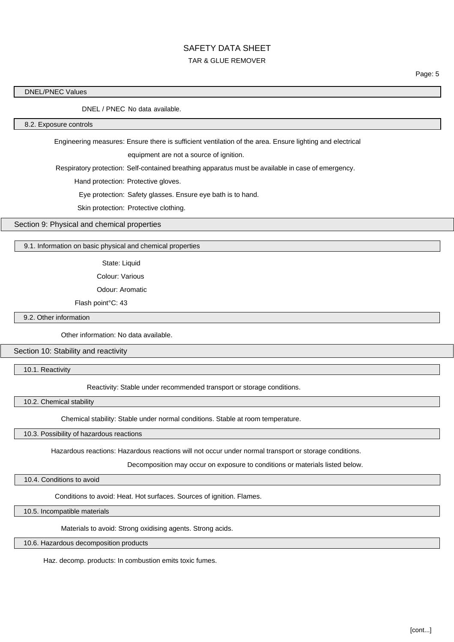# TAR & GLUE REMOVER

Page: 5

### DNEL/PNEC Values

DNEL / PNEC No data available.

### 8.2. Exposure controls

Engineering measures: Ensure there is sufficient ventilation of the area. Ensure lighting and electrical

equipment are not a source of ignition.

Respiratory protection: Self-contained breathing apparatus must be available in case of emergency.

Hand protection: Protective gloves.

Eye protection: Safety glasses. Ensure eye bath is to hand.

Skin protection: Protective clothing.

Section 9: Physical and chemical properties

### 9.1. Information on basic physical and chemical properties

State: Liquid

Colour: Various

Odour: Aromatic

Flash point°C: 43

9.2. Other information

Other information: No data available.

Section 10: Stability and reactivity

10.1. Reactivity

Reactivity: Stable under recommended transport or storage conditions.

10.2. Chemical stability

Chemical stability: Stable under normal conditions. Stable at room temperature.

### 10.3. Possibility of hazardous reactions

Hazardous reactions: Hazardous reactions will not occur under normal transport or storage conditions.

Decomposition may occur on exposure to conditions or materials listed below.

10.4. Conditions to avoid

Conditions to avoid: Heat. Hot surfaces. Sources of ignition. Flames.

10.5. Incompatible materials

Materials to avoid: Strong oxidising agents. Strong acids.

10.6. Hazardous decomposition products

Haz. decomp. products: In combustion emits toxic fumes.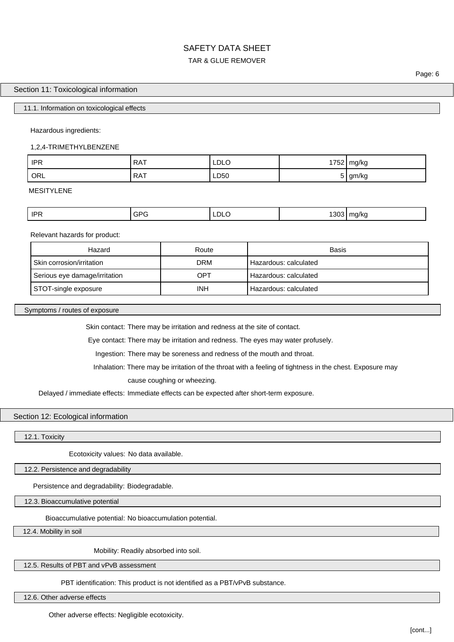# SAFETY DATA SHEET TAR & GLUE REMOVER

### Section 11: Toxicological information

### 11.1. Information on toxicological effects

Hazardous ingredients:

1,2,4-TRIMETHYLBENZENE

| <b>IPR</b> | $P^{\mathsf{A}}$<br>$\mathbf{M}$ | LDLO | 1752 | mg/kg |
|------------|----------------------------------|------|------|-------|
| ORL        | <b>RAT</b>                       | LD50 | ັ    | gm/kg |

MESITYLENE

| <b>IPF</b> | י הי<br>ັ∪∽<br>∼ | LDLO - | $- - -$ | 11.0 <sub>0</sub><br>u/Ko<br>. .<br>$\sim$ |
|------------|------------------|--------|---------|--------------------------------------------|
|            |                  |        |         |                                            |

Relevant hazards for product:

| Hazard                        | Route | Basis                 |
|-------------------------------|-------|-----------------------|
| Skin corrosion/irritation     | DRM   | Hazardous: calculated |
| Serious eye damage/irritation | OPT   | Hazardous: calculated |
| STOT-single exposure          | INH   | Hazardous: calculated |

Symptoms / routes of exposure

Skin contact: There may be irritation and redness at the site of contact.

Eye contact: There may be irritation and redness. The eyes may water profusely.

Ingestion: There may be soreness and redness of the mouth and throat.

Inhalation: There may be irritation of the throat with a feeling of tightness in the chest. Exposure may

cause coughing or wheezing.

Delayed / immediate effects: Immediate effects can be expected after short-term exposure.

### Section 12: Ecological information

12.1. Toxicity

Ecotoxicity values: No data available.

12.2. Persistence and degradability

Persistence and degradability: Biodegradable.

12.3. Bioaccumulative potential

Bioaccumulative potential: No bioaccumulation potential.

12.4. Mobility in soil

Mobility: Readily absorbed into soil.

12.5. Results of PBT and vPvB assessment

PBT identification: This product is not identified as a PBT/vPvB substance.

12.6. Other adverse effects

Other adverse effects: Negligible ecotoxicity.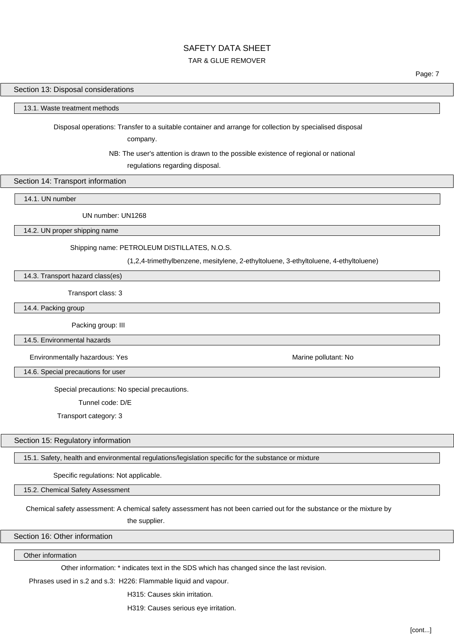### TAR & GLUE REMOVER

Page: 7

### Section 13: Disposal considerations

### 13.1. Waste treatment methods

Disposal operations: Transfer to a suitable container and arrange for collection by specialised disposal

company.

NB: The user's attention is drawn to the possible existence of regional or national

regulations regarding disposal.

### Section 14: Transport information

14.1. UN number

UN number: UN1268

14.2. UN proper shipping name

### Shipping name: PETROLEUM DISTILLATES, N.O.S.

(1,2,4-trimethylbenzene, mesitylene, 2-ethyltoluene, 3-ethyltoluene, 4-ethyltoluene)

14.3. Transport hazard class(es)

Transport class: 3

14.4. Packing group

Packing group: III

14.5. Environmental hazards

Environmentally hazardous: Yes Marine pollutant: No

14.6. Special precautions for user

Special precautions: No special precautions.

Tunnel code: D/E

Transport category: 3

Section 15: Regulatory information

15.1. Safety, health and environmental regulations/legislation specific for the substance or mixture

Specific regulations: Not applicable.

15.2. Chemical Safety Assessment

Chemical safety assessment: A chemical safety assessment has not been carried out for the substance or the mixture by

the supplier.

### Section 16: Other information

Other information

Other information: \* indicates text in the SDS which has changed since the last revision.

Phrases used in s.2 and s.3: H226: Flammable liquid and vapour.

H315: Causes skin irritation.

H319: Causes serious eye irritation.